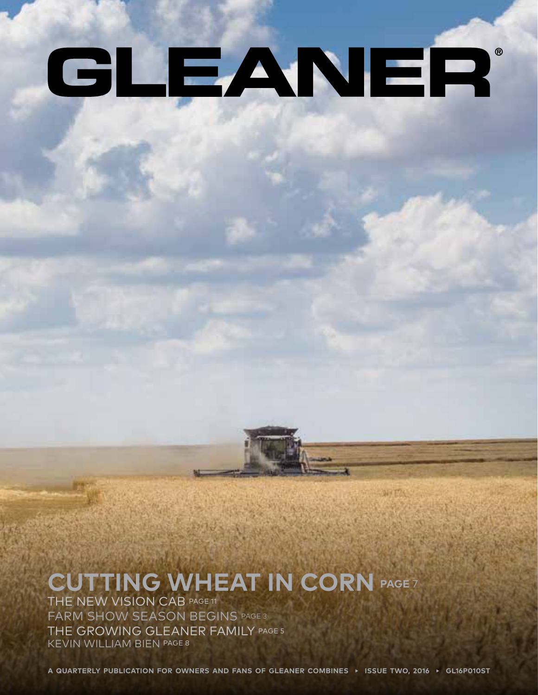# GLEANER®

## **CUTTING WHEAT IN CORN PAGE** <sup>7</sup>

**THE NEW VISION CAB PAGE 11** FARM SHOW SEASON BEGINS PAGE 3 THE GROWING GLEANER FAMILY PAGE 5 KEVIN WILLIAM BIEN PAGE 8

**A QUARTERLY PUBLICATION FOR OWNERS AND FANS OF GLEANER COMBINES ▸ ISSUE TWO, 2016 ▸ GL16P010ST**

**MATT**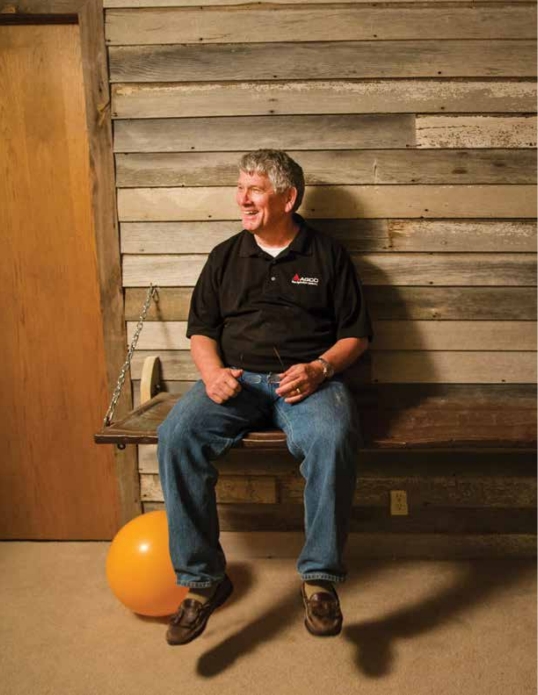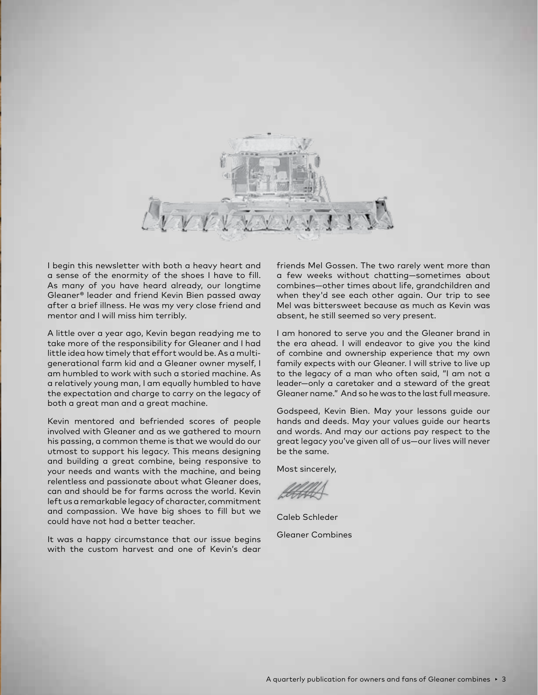

I begin this newsletter with both a heavy heart and a sense of the enormity of the shoes I have to fill. As many of you have heard already, our longtime Gleaner® leader and friend Kevin Bien passed away after a brief illness. He was my very close friend and mentor and I will miss him terribly.

A little over a year ago, Kevin began readying me to take more of the responsibility for Gleaner and I had little idea how timely that effort would be. As a multigenerational farm kid and a Gleaner owner myself, I am humbled to work with such a storied machine. As a relatively young man, I am equally humbled to have the expectation and charge to carry on the legacy of both a great man and a great machine.

Kevin mentored and befriended scores of people involved with Gleaner and as we gathered to mourn his passing, a common theme is that we would do our utmost to support his legacy. This means designing and building a great combine, being responsive to your needs and wants with the machine, and being relentless and passionate about what Gleaner does, can and should be for farms across the world. Kevin left us a remarkable legacy of character, commitment and compassion. We have big shoes to fill but we could have not had a better teacher.

It was a happy circumstance that our issue begins with the custom harvest and one of Kevin's dear

friends Mel Gossen. The two rarely went more than a few weeks without chatting—sometimes about combines—other times about life, grandchildren and when they'd see each other again. Our trip to see Mel was bittersweet because as much as Kevin was absent, he still seemed so very present.

I am honored to serve you and the Gleaner brand in the era ahead. I will endeavor to give you the kind of combine and ownership experience that my own family expects with our Gleaner. I will strive to live up to the legacy of a man who often said, "I am not a leader—only a caretaker and a steward of the great Gleaner name." And so he was to the last full measure.

Godspeed, Kevin Bien. May your lessons guide our hands and deeds. May your values guide our hearts and words. And may our actions pay respect to the great legacy you've given all of us—our lives will never be the same.

Most sincerely,

Caleb Schleder Gleaner Combines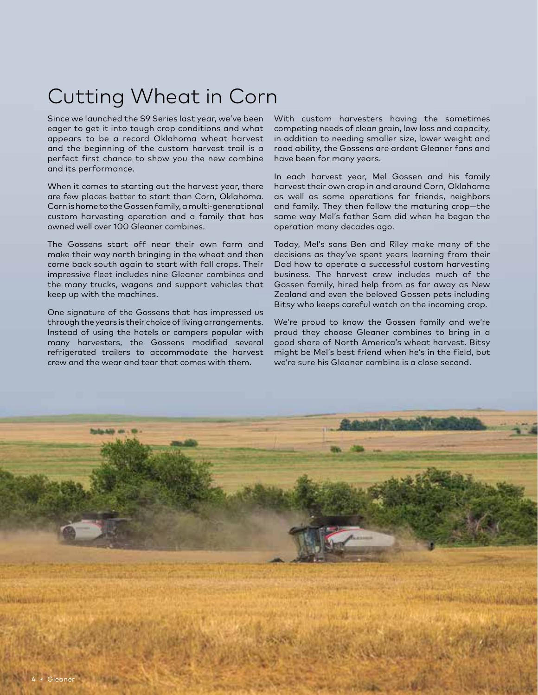## Cutting Wheat in Corn

Since we launched the S9 Series last year, we've been eager to get it into tough crop conditions and what appears to be a record Oklahoma wheat harvest and the beginning of the custom harvest trail is a perfect first chance to show you the new combine and its performance.

When it comes to starting out the harvest year, there are few places better to start than Corn, Oklahoma. Corn is home to the Gossen family, a multi-generational custom harvesting operation and a family that has owned well over 100 Gleaner combines.

The Gossens start off near their own farm and make their way north bringing in the wheat and then come back south again to start with fall crops. Their impressive fleet includes nine Gleaner combines and the many trucks, wagons and support vehicles that keep up with the machines.

One signature of the Gossens that has impressed us through the years is their choice of living arrangements. Instead of using the hotels or campers popular with many harvesters, the Gossens modified several refrigerated trailers to accommodate the harvest crew and the wear and tear that comes with them.

With custom harvesters having the sometimes competing needs of clean grain, low loss and capacity, in addition to needing smaller size, lower weight and road ability, the Gossens are ardent Gleaner fans and have been for many years.

In each harvest year, Mel Gossen and his family harvest their own crop in and around Corn, Oklahoma as well as some operations for friends, neighbors and family. They then follow the maturing crop—the same way Mel's father Sam did when he began the operation many decades ago.

Today, Mel's sons Ben and Riley make many of the decisions as they've spent years learning from their Dad how to operate a successful custom harvesting business. The harvest crew includes much of the Gossen family, hired help from as far away as New Zealand and even the beloved Gossen pets including Bitsy who keeps careful watch on the incoming crop.

We're proud to know the Gossen family and we're proud they choose Gleaner combines to bring in a good share of North America's wheat harvest. Bitsy might be Mel's best friend when he's in the field, but we're sure his Gleaner combine is a close second.

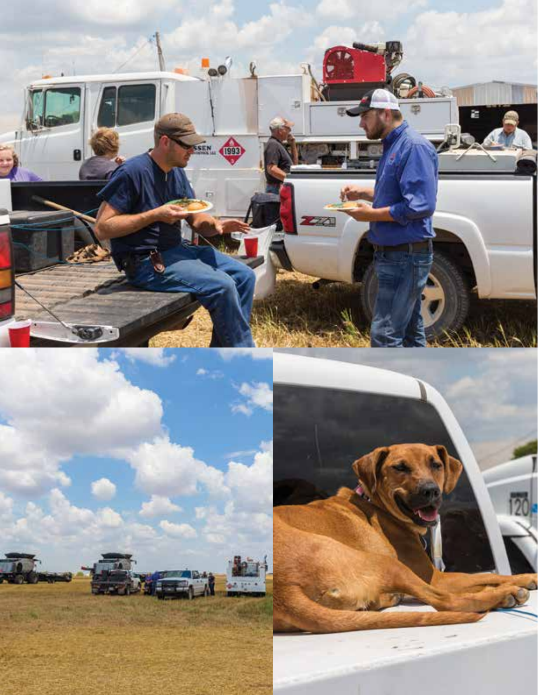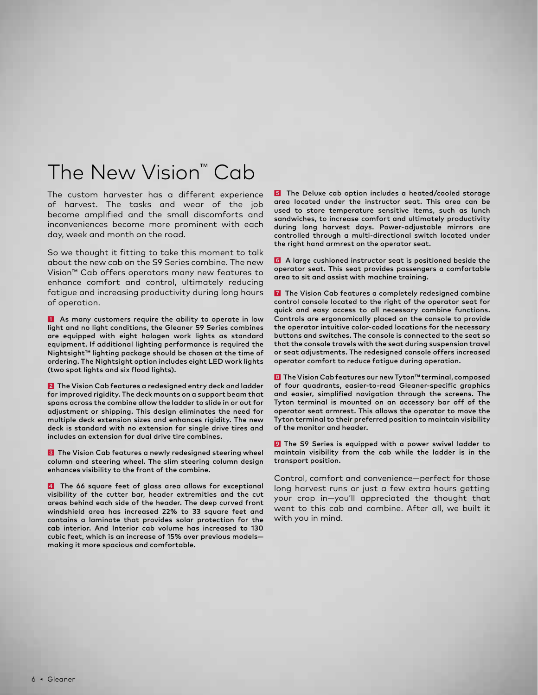#### The New Vision™ Cab

The custom harvester has a different experience of harvest. The tasks and wear of the job become amplified and the small discomforts and inconveniences become more prominent with each day, week and month on the road.

So we thought it fitting to take this moment to talk about the new cab on the S9 Series combine. The new Vision™ Cab offers operators many new features to enhance comfort and control, ultimately reducing fatigue and increasing productivity during long hours of operation.

**1** As many customers require the ability to operate in low light and no light conditions, the Gleaner S9 Series combines are equipped with eight halogen work lights as standard equipment. If additional lighting performance is required the Nightsight™ lighting package should be chosen at the time of ordering. The Nightsight option includes eight LED work lights (two spot lights and six flood lights).

**2** The Vision Cab features a redesigned entry deck and ladder for improved rigidity. The deck mounts on a support beam that spans across the combine allow the ladder to slide in or out for adjustment or shipping. This design eliminates the need for multiple deck extension sizes and enhances rigidity. The new deck is standard with no extension for single drive tires and includes an extension for dual drive tire combines.

**3** The Vision Cab features a newly redesigned steering wheel column and steering wheel. The slim steering column design enhances visibility to the front of the combine.

4 The 66 square feet of glass area allows for exceptional visibility of the cutter bar, header extremities and the cut areas behind each side of the header. The deep curved front windshield area has increased 22% to 33 square feet and contains a laminate that provides solar protection for the cab interior. And Interior cab volume has increased to 130 cubic feet, which is an increase of 15% over previous models making it more spacious and comfortable.

5 The Deluxe cab option includes a heated/cooled storage area located under the instructor seat. This area can be used to store temperature sensitive items, such as lunch sandwiches, to increase comfort and ultimately productivity during long harvest days. Power-adjustable mirrors are controlled through a multi-directional switch located under the right hand armrest on the operator seat.

6 A large cushioned instructor seat is positioned beside the operator seat. This seat provides passengers a comfortable area to sit and assist with machine training.

**7** The Vision Cab features a completely redesigned combine control console located to the right of the operator seat for quick and easy access to all necessary combine functions. Controls are ergonomically placed on the console to provide the operator intuitive color-coded locations for the necessary buttons and switches. The console is connected to the seat so that the console travels with the seat during suspension travel or seat adjustments. The redesigned console offers increased operator comfort to reduce fatigue during operation.

8 The Vision Cab features our new Tyton™ terminal, composed of four quadrants, easier-to-read Gleaner-specific graphics and easier, simplified navigation through the screens. The Tyton terminal is mounted on an accessory bar off of the operator seat armrest. This allows the operator to move the Tyton terminal to their preferred position to maintain visibility of the monitor and header.

**9** The S9 Series is equipped with a power swivel ladder to maintain visibility from the cab while the ladder is in the transport position.

Control, comfort and convenience—perfect for those long harvest runs or just a few extra hours getting your crop in—you'll appreciated the thought that went to this cab and combine. After all, we built it with you in mind.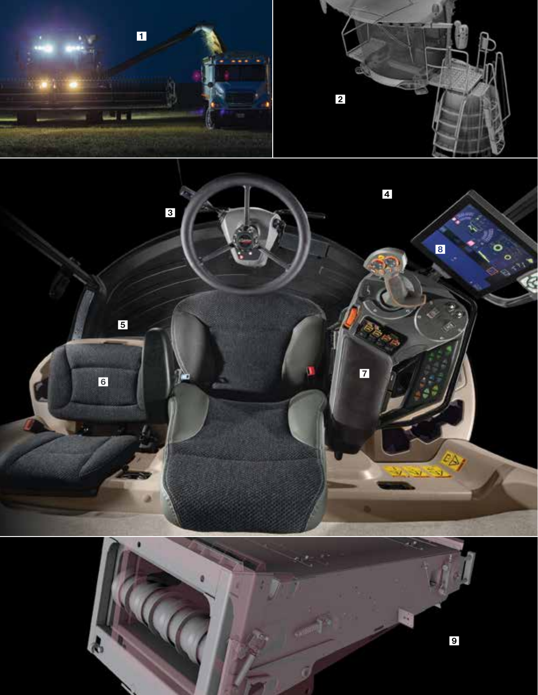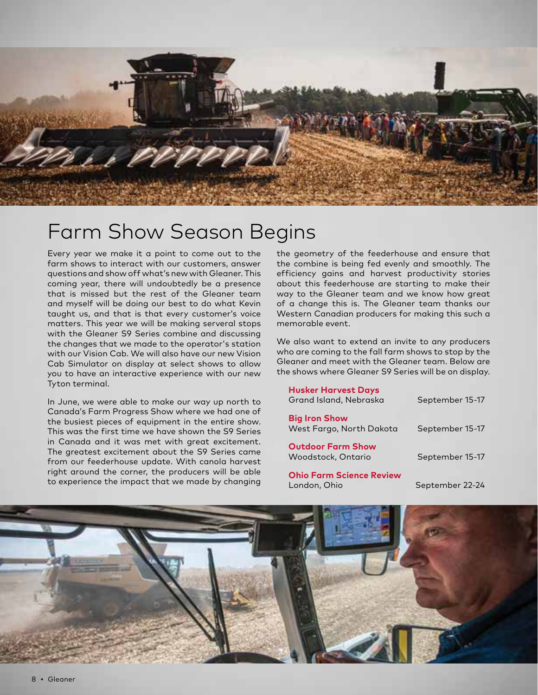

### Farm Show Season Begins

Every year we make it a point to come out to the farm shows to interact with our customers, answer questions and show off what's new with Gleaner. This coming year, there will undoubtedly be a presence that is missed but the rest of the Gleaner team and myself will be doing our best to do what Kevin taught us, and that is that every customer's voice matters. This year we will be making serveral stops with the Gleaner S9 Series combine and discussing the changes that we made to the operator's station with our Vision Cab. We will also have our new Vision Cab Simulator on display at select shows to allow you to have an interactive experience with our new Tyton terminal.

In June, we were able to make our way up north to Canada's Farm Progress Show where we had one of the busiest pieces of equipment in the entire show. This was the first time we have shown the S9 Series in Canada and it was met with great excitement. The greatest excitement about the S9 Series came from our feederhouse update. With canola harvest right around the corner, the producers will be able to experience the impact that we made by changing

the geometry of the feederhouse and ensure that the combine is being fed evenly and smoothly. The efficiency gains and harvest productivity stories about this feederhouse are starting to make their way to the Gleaner team and we know how great of a change this is. The Gleaner team thanks our Western Canadian producers for making this such a memorable event.

We also want to extend an invite to any producers who are coming to the fall farm shows to stop by the Gleaner and meet with the Gleaner team. Below are the shows where Gleaner S9 Series will be on display.

| <b>Husker Harvest Days</b><br>Grand Island, Nebraska | September 15-17 |
|------------------------------------------------------|-----------------|
| <b>Big Iron Show</b><br>West Fargo, North Dakota     | September 15-17 |
| <b>Outdoor Farm Show</b><br>Woodstock, Ontario       | September 15-17 |
| <b>Ohio Farm Science Review</b><br>London, Ohio      | September 22-24 |

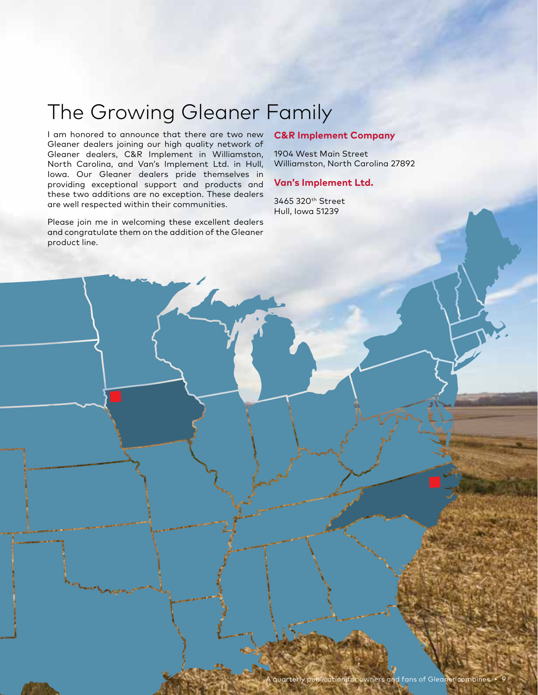#### The Growing Gleaner Family

I am honored to announce that there are two new Gleaner dealers joining our high quality network of Gleaner dealers, C&R Implement in Williamston, North Carolina, and Van's Implement Ltd. in Hull, Iowa. Our Gleaner dealers pride themselves in providing exceptional support and products and these two additions are no exception. These dealers are well respected within their communities.

Please join me in welcoming these excellent dealers and congratulate them on the addition of the Gleaner product line.

#### **C&R Implement Company**

1904 West Main Street Williamston, North Carolina 27892

#### **Van's Implement Ltd.**

3465 320th Street Hull, Iowa 51239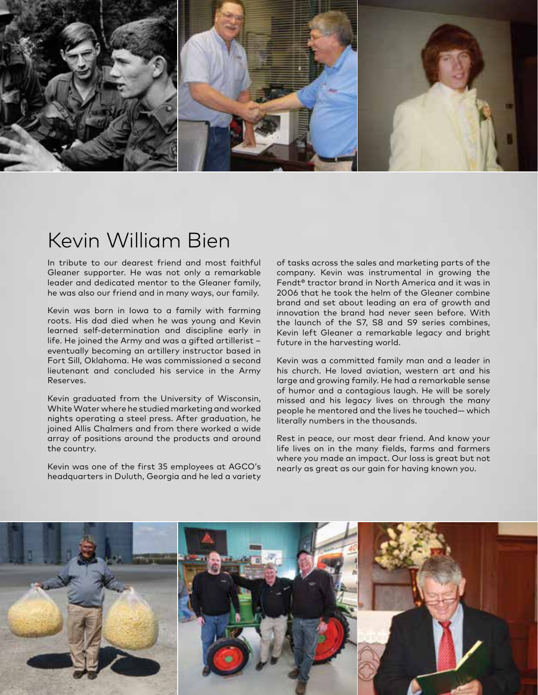

#### Kevin William Bien

In tribute to our dearest friend and most faithful Gleaner supporter. He was not only a remarkable leader and dedicated mentor to the Gleaner family, he was also our friend and in many ways, our family.

Kevin was born in Iowa to a family with farming roots. His dad died when he was young and Kevin learned self-determination and discipline early in life. He joined the Army and was a gifted artillerist – eventually becoming an artillery instructor based in Fort Sill, Oklahoma. He was commissioned a second lieutenant and concluded his service in the Army Reserves.

Kevin graduated from the University of Wisconsin, White Water where he studied marketing and worked nights operating a steel press. After graduation, he joined Allis Chalmers and from there worked a wide array of positions around the products and around the country.

Kevin was one of the first 35 employees at AGCO's headquarters in Duluth, Georgia and he led a variety

of tasks across the sales and marketing parts of the company. Kevin was instrumental in growing the Fendt® tractor brand in North America and it was in 2006 that he took the helm of the Gleaner combine brand and set about leading an era of growth and innovation the brand had never seen before. With the launch of the S7, S8 and S9 series combines, Kevin left Gleaner a remarkable legacy and bright future in the harvesting world.

Kevin was a committed family man and a leader in his church. He loved aviation, western art and his large and growing family. He had a remarkable sense of humor and a contagious laugh. He will be sorely missed and his legacy lives on through the many people he mentored and the lives he touched— which literally numbers in the thousands.

Rest in peace, our most dear friend. And know your life lives on in the many fields, farms and farmers where you made an impact. Our loss is great but not nearly as great as our gain for having known you.

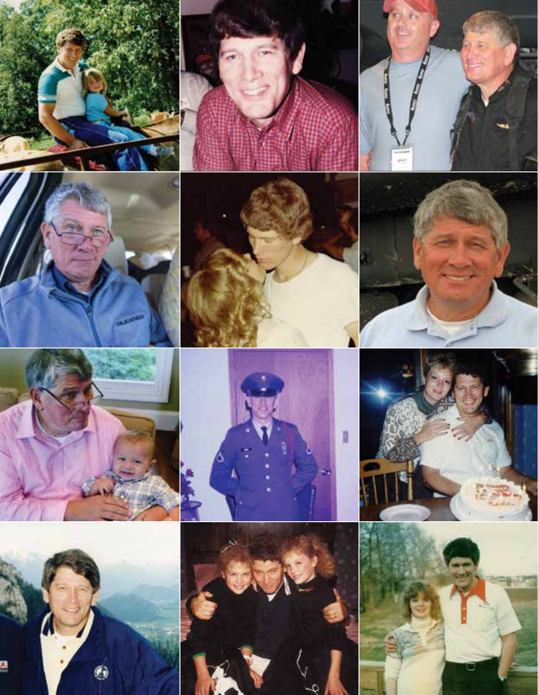